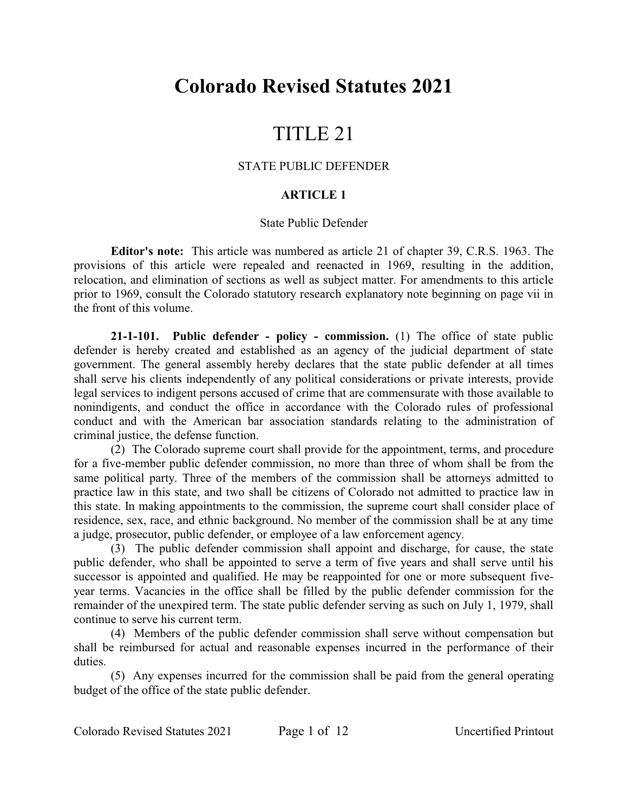# **Colorado Revised Statutes 2021**

# TITLE 21

## STATE PUBLIC DEFENDER

## **ARTICLE 1**

#### State Public Defender

**Editor's note:** This article was numbered as article 21 of chapter 39, C.R.S. 1963. The provisions of this article were repealed and reenacted in 1969, resulting in the addition, relocation, and elimination of sections as well as subject matter. For amendments to this article prior to 1969, consult the Colorado statutory research explanatory note beginning on page vii in the front of this volume.

**21-1-101. Public defender - policy - commission.** (1) The office of state public defender is hereby created and established as an agency of the judicial department of state government. The general assembly hereby declares that the state public defender at all times shall serve his clients independently of any political considerations or private interests, provide legal services to indigent persons accused of crime that are commensurate with those available to nonindigents, and conduct the office in accordance with the Colorado rules of professional conduct and with the American bar association standards relating to the administration of criminal justice, the defense function.

(2) The Colorado supreme court shall provide for the appointment, terms, and procedure for a five-member public defender commission, no more than three of whom shall be from the same political party. Three of the members of the commission shall be attorneys admitted to practice law in this state, and two shall be citizens of Colorado not admitted to practice law in this state. In making appointments to the commission, the supreme court shall consider place of residence, sex, race, and ethnic background. No member of the commission shall be at any time a judge, prosecutor, public defender, or employee of a law enforcement agency.

(3) The public defender commission shall appoint and discharge, for cause, the state public defender, who shall be appointed to serve a term of five years and shall serve until his successor is appointed and qualified. He may be reappointed for one or more subsequent fiveyear terms. Vacancies in the office shall be filled by the public defender commission for the remainder of the unexpired term. The state public defender serving as such on July 1, 1979, shall continue to serve his current term.

(4) Members of the public defender commission shall serve without compensation but shall be reimbursed for actual and reasonable expenses incurred in the performance of their duties.

(5) Any expenses incurred for the commission shall be paid from the general operating budget of the office of the state public defender.

Colorado Revised Statutes 2021 Page 1 of 12 Uncertified Printout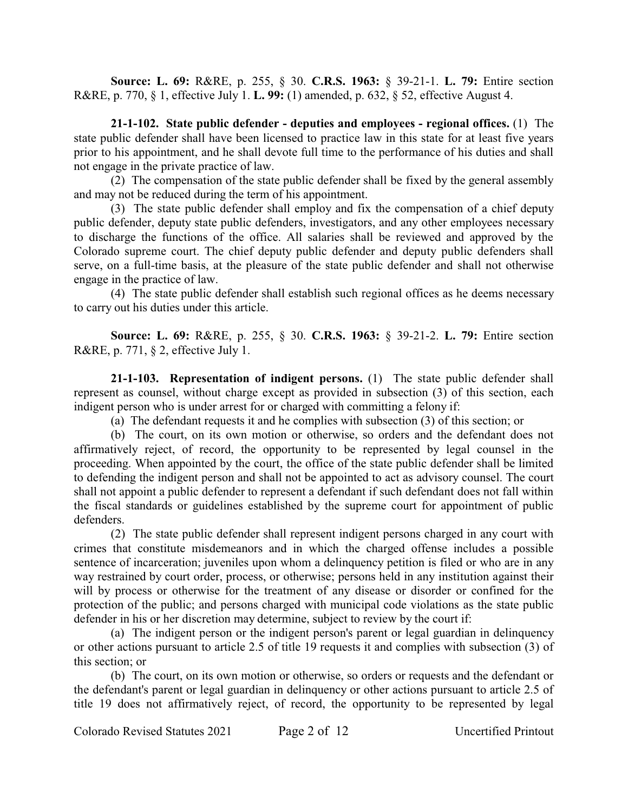**Source: L. 69:** R&RE, p. 255, § 30. **C.R.S. 1963:** § 39-21-1. **L. 79:** Entire section R&RE, p. 770, § 1, effective July 1. **L. 99:** (1) amended, p. 632, § 52, effective August 4.

**21-1-102. State public defender - deputies and employees - regional offices.** (1) The state public defender shall have been licensed to practice law in this state for at least five years prior to his appointment, and he shall devote full time to the performance of his duties and shall not engage in the private practice of law.

(2) The compensation of the state public defender shall be fixed by the general assembly and may not be reduced during the term of his appointment.

(3) The state public defender shall employ and fix the compensation of a chief deputy public defender, deputy state public defenders, investigators, and any other employees necessary to discharge the functions of the office. All salaries shall be reviewed and approved by the Colorado supreme court. The chief deputy public defender and deputy public defenders shall serve, on a full-time basis, at the pleasure of the state public defender and shall not otherwise engage in the practice of law.

(4) The state public defender shall establish such regional offices as he deems necessary to carry out his duties under this article.

**Source: L. 69:** R&RE, p. 255, § 30. **C.R.S. 1963:** § 39-21-2. **L. 79:** Entire section R&RE, p. 771, § 2, effective July 1.

**21-1-103. Representation of indigent persons.** (1) The state public defender shall represent as counsel, without charge except as provided in subsection (3) of this section, each indigent person who is under arrest for or charged with committing a felony if:

(a) The defendant requests it and he complies with subsection (3) of this section; or

(b) The court, on its own motion or otherwise, so orders and the defendant does not affirmatively reject, of record, the opportunity to be represented by legal counsel in the proceeding. When appointed by the court, the office of the state public defender shall be limited to defending the indigent person and shall not be appointed to act as advisory counsel. The court shall not appoint a public defender to represent a defendant if such defendant does not fall within the fiscal standards or guidelines established by the supreme court for appointment of public defenders.

(2) The state public defender shall represent indigent persons charged in any court with crimes that constitute misdemeanors and in which the charged offense includes a possible sentence of incarceration; juveniles upon whom a delinquency petition is filed or who are in any way restrained by court order, process, or otherwise; persons held in any institution against their will by process or otherwise for the treatment of any disease or disorder or confined for the protection of the public; and persons charged with municipal code violations as the state public defender in his or her discretion may determine, subject to review by the court if:

(a) The indigent person or the indigent person's parent or legal guardian in delinquency or other actions pursuant to article 2.5 of title 19 requests it and complies with subsection (3) of this section; or

(b) The court, on its own motion or otherwise, so orders or requests and the defendant or the defendant's parent or legal guardian in delinquency or other actions pursuant to article 2.5 of title 19 does not affirmatively reject, of record, the opportunity to be represented by legal

Colorado Revised Statutes 2021 Page 2 of 12 Uncertified Printout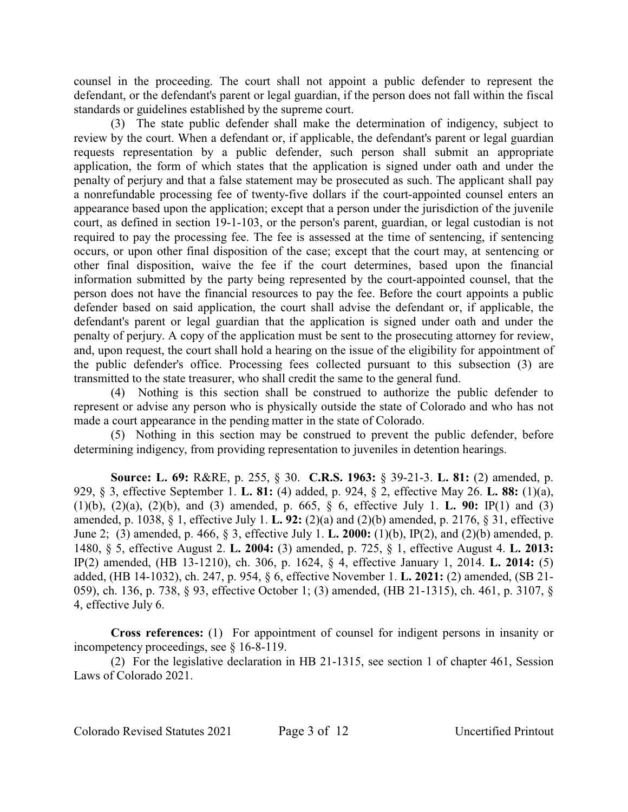counsel in the proceeding. The court shall not appoint a public defender to represent the defendant, or the defendant's parent or legal guardian, if the person does not fall within the fiscal standards or guidelines established by the supreme court.

(3) The state public defender shall make the determination of indigency, subject to review by the court. When a defendant or, if applicable, the defendant's parent or legal guardian requests representation by a public defender, such person shall submit an appropriate application, the form of which states that the application is signed under oath and under the penalty of perjury and that a false statement may be prosecuted as such. The applicant shall pay a nonrefundable processing fee of twenty-five dollars if the court-appointed counsel enters an appearance based upon the application; except that a person under the jurisdiction of the juvenile court, as defined in section 19-1-103, or the person's parent, guardian, or legal custodian is not required to pay the processing fee. The fee is assessed at the time of sentencing, if sentencing occurs, or upon other final disposition of the case; except that the court may, at sentencing or other final disposition, waive the fee if the court determines, based upon the financial information submitted by the party being represented by the court-appointed counsel, that the person does not have the financial resources to pay the fee. Before the court appoints a public defender based on said application, the court shall advise the defendant or, if applicable, the defendant's parent or legal guardian that the application is signed under oath and under the penalty of perjury. A copy of the application must be sent to the prosecuting attorney for review, and, upon request, the court shall hold a hearing on the issue of the eligibility for appointment of the public defender's office. Processing fees collected pursuant to this subsection (3) are transmitted to the state treasurer, who shall credit the same to the general fund.

(4) Nothing is this section shall be construed to authorize the public defender to represent or advise any person who is physically outside the state of Colorado and who has not made a court appearance in the pending matter in the state of Colorado.

(5) Nothing in this section may be construed to prevent the public defender, before determining indigency, from providing representation to juveniles in detention hearings.

**Source: L. 69:** R&RE, p. 255, § 30. **C.R.S. 1963:** § 39-21-3. **L. 81:** (2) amended, p. 929, § 3, effective September 1. **L. 81:** (4) added, p. 924, § 2, effective May 26. **L. 88:** (1)(a), (1)(b), (2)(a), (2)(b), and (3) amended, p. 665, § 6, effective July 1. **L. 90:** IP(1) and (3) amended, p. 1038, § 1, effective July 1. **L. 92:** (2)(a) and (2)(b) amended, p. 2176, § 31, effective June 2; (3) amended, p. 466, § 3, effective July 1. **L. 2000:** (1)(b), IP(2), and (2)(b) amended, p. 1480, § 5, effective August 2. **L. 2004:** (3) amended, p. 725, § 1, effective August 4. **L. 2013:** IP(2) amended, (HB 13-1210), ch. 306, p. 1624, § 4, effective January 1, 2014. **L. 2014:** (5) added, (HB 14-1032), ch. 247, p. 954, § 6, effective November 1. **L. 2021:** (2) amended, (SB 21- 059), ch. 136, p. 738, § 93, effective October 1; (3) amended, (HB 21-1315), ch. 461, p. 3107, § 4, effective July 6.

**Cross references:** (1) For appointment of counsel for indigent persons in insanity or incompetency proceedings, see § 16-8-119.

(2) For the legislative declaration in HB 21-1315, see section 1 of chapter 461, Session Laws of Colorado 2021.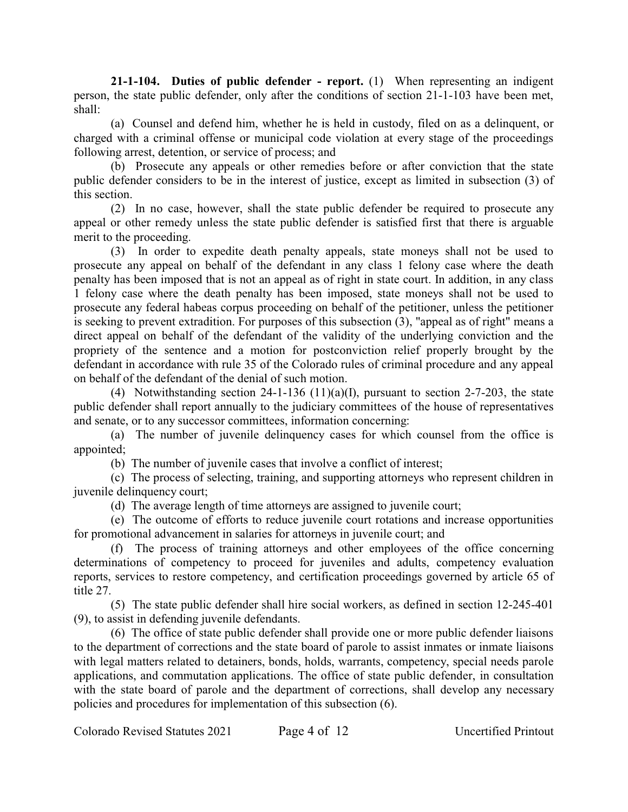**21-1-104. Duties of public defender - report.** (1) When representing an indigent person, the state public defender, only after the conditions of section 21-1-103 have been met, shall:

(a) Counsel and defend him, whether he is held in custody, filed on as a delinquent, or charged with a criminal offense or municipal code violation at every stage of the proceedings following arrest, detention, or service of process; and

(b) Prosecute any appeals or other remedies before or after conviction that the state public defender considers to be in the interest of justice, except as limited in subsection (3) of this section.

(2) In no case, however, shall the state public defender be required to prosecute any appeal or other remedy unless the state public defender is satisfied first that there is arguable merit to the proceeding.

(3) In order to expedite death penalty appeals, state moneys shall not be used to prosecute any appeal on behalf of the defendant in any class 1 felony case where the death penalty has been imposed that is not an appeal as of right in state court. In addition, in any class 1 felony case where the death penalty has been imposed, state moneys shall not be used to prosecute any federal habeas corpus proceeding on behalf of the petitioner, unless the petitioner is seeking to prevent extradition. For purposes of this subsection (3), "appeal as of right" means a direct appeal on behalf of the defendant of the validity of the underlying conviction and the propriety of the sentence and a motion for postconviction relief properly brought by the defendant in accordance with rule 35 of the Colorado rules of criminal procedure and any appeal on behalf of the defendant of the denial of such motion.

(4) Notwithstanding section 24-1-136 (11)(a)(I), pursuant to section 2-7-203, the state public defender shall report annually to the judiciary committees of the house of representatives and senate, or to any successor committees, information concerning:

(a) The number of juvenile delinquency cases for which counsel from the office is appointed;

(b) The number of juvenile cases that involve a conflict of interest;

(c) The process of selecting, training, and supporting attorneys who represent children in juvenile delinquency court;

(d) The average length of time attorneys are assigned to juvenile court;

(e) The outcome of efforts to reduce juvenile court rotations and increase opportunities for promotional advancement in salaries for attorneys in juvenile court; and

(f) The process of training attorneys and other employees of the office concerning determinations of competency to proceed for juveniles and adults, competency evaluation reports, services to restore competency, and certification proceedings governed by article 65 of title 27.

(5) The state public defender shall hire social workers, as defined in section 12-245-401 (9), to assist in defending juvenile defendants.

(6) The office of state public defender shall provide one or more public defender liaisons to the department of corrections and the state board of parole to assist inmates or inmate liaisons with legal matters related to detainers, bonds, holds, warrants, competency, special needs parole applications, and commutation applications. The office of state public defender, in consultation with the state board of parole and the department of corrections, shall develop any necessary policies and procedures for implementation of this subsection (6).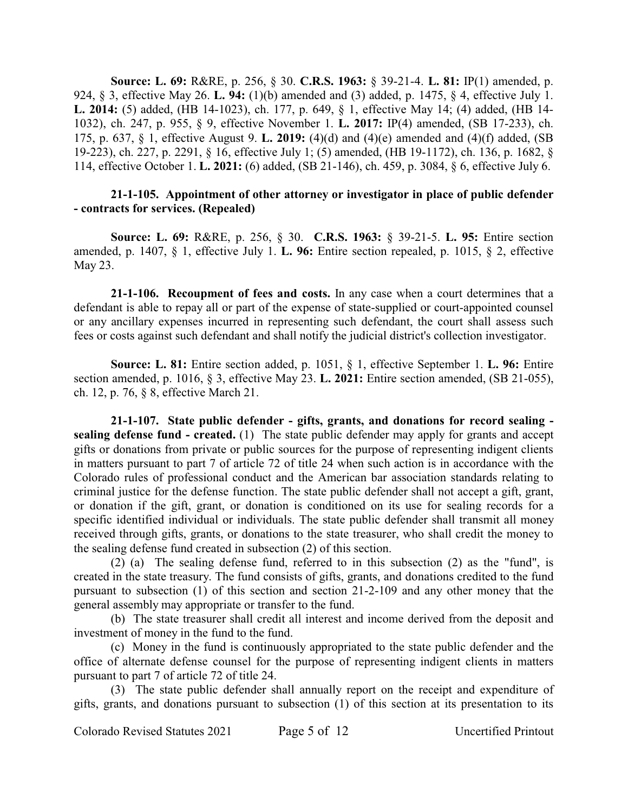**Source: L. 69:** R&RE, p. 256, § 30. **C.R.S. 1963:** § 39-21-4. **L. 81:** IP(1) amended, p. 924, § 3, effective May 26. **L. 94:** (1)(b) amended and (3) added, p. 1475, § 4, effective July 1. **L. 2014:** (5) added, (HB 14-1023), ch. 177, p. 649, § 1, effective May 14; (4) added, (HB 14- 1032), ch. 247, p. 955, § 9, effective November 1. **L. 2017:** IP(4) amended, (SB 17-233), ch. 175, p. 637, § 1, effective August 9. **L. 2019:** (4)(d) and (4)(e) amended and (4)(f) added, (SB 19-223), ch. 227, p. 2291, § 16, effective July 1; (5) amended, (HB 19-1172), ch. 136, p. 1682, § 114, effective October 1. **L. 2021:** (6) added, (SB 21-146), ch. 459, p. 3084, § 6, effective July 6.

## **21-1-105. Appointment of other attorney or investigator in place of public defender - contracts for services. (Repealed)**

**Source: L. 69:** R&RE, p. 256, § 30. **C.R.S. 1963:** § 39-21-5. **L. 95:** Entire section amended, p. 1407, § 1, effective July 1. **L. 96:** Entire section repealed, p. 1015, § 2, effective May 23.

**21-1-106. Recoupment of fees and costs.** In any case when a court determines that a defendant is able to repay all or part of the expense of state-supplied or court-appointed counsel or any ancillary expenses incurred in representing such defendant, the court shall assess such fees or costs against such defendant and shall notify the judicial district's collection investigator.

**Source: L. 81:** Entire section added, p. 1051, § 1, effective September 1. **L. 96:** Entire section amended, p. 1016, § 3, effective May 23. **L. 2021:** Entire section amended, (SB 21-055), ch. 12, p. 76, § 8, effective March 21.

**21-1-107. State public defender - gifts, grants, and donations for record sealing sealing defense fund - created.** (1) The state public defender may apply for grants and accept gifts or donations from private or public sources for the purpose of representing indigent clients in matters pursuant to part 7 of article 72 of title 24 when such action is in accordance with the Colorado rules of professional conduct and the American bar association standards relating to criminal justice for the defense function. The state public defender shall not accept a gift, grant, or donation if the gift, grant, or donation is conditioned on its use for sealing records for a specific identified individual or individuals. The state public defender shall transmit all money received through gifts, grants, or donations to the state treasurer, who shall credit the money to the sealing defense fund created in subsection (2) of this section.

(2) (a) The sealing defense fund, referred to in this subsection (2) as the "fund", is created in the state treasury. The fund consists of gifts, grants, and donations credited to the fund pursuant to subsection (1) of this section and section 21-2-109 and any other money that the general assembly may appropriate or transfer to the fund.

(b) The state treasurer shall credit all interest and income derived from the deposit and investment of money in the fund to the fund.

(c) Money in the fund is continuously appropriated to the state public defender and the office of alternate defense counsel for the purpose of representing indigent clients in matters pursuant to part 7 of article 72 of title 24.

(3) The state public defender shall annually report on the receipt and expenditure of gifts, grants, and donations pursuant to subsection (1) of this section at its presentation to its

Colorado Revised Statutes 2021 Page 5 of 12 Uncertified Printout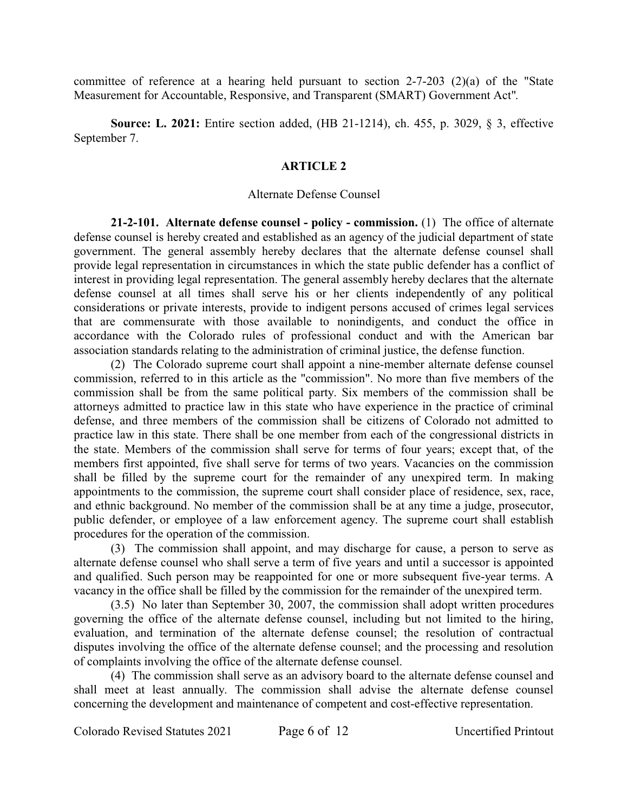committee of reference at a hearing held pursuant to section 2-7-203 (2)(a) of the "State Measurement for Accountable, Responsive, and Transparent (SMART) Government Act".

**Source: L. 2021:** Entire section added, (HB 21-1214), ch. 455, p. 3029, § 3, effective September 7.

## **ARTICLE 2**

#### Alternate Defense Counsel

**21-2-101. Alternate defense counsel - policy - commission.** (1) The office of alternate defense counsel is hereby created and established as an agency of the judicial department of state government. The general assembly hereby declares that the alternate defense counsel shall provide legal representation in circumstances in which the state public defender has a conflict of interest in providing legal representation. The general assembly hereby declares that the alternate defense counsel at all times shall serve his or her clients independently of any political considerations or private interests, provide to indigent persons accused of crimes legal services that are commensurate with those available to nonindigents, and conduct the office in accordance with the Colorado rules of professional conduct and with the American bar association standards relating to the administration of criminal justice, the defense function.

(2) The Colorado supreme court shall appoint a nine-member alternate defense counsel commission, referred to in this article as the "commission". No more than five members of the commission shall be from the same political party. Six members of the commission shall be attorneys admitted to practice law in this state who have experience in the practice of criminal defense, and three members of the commission shall be citizens of Colorado not admitted to practice law in this state. There shall be one member from each of the congressional districts in the state. Members of the commission shall serve for terms of four years; except that, of the members first appointed, five shall serve for terms of two years. Vacancies on the commission shall be filled by the supreme court for the remainder of any unexpired term. In making appointments to the commission, the supreme court shall consider place of residence, sex, race, and ethnic background. No member of the commission shall be at any time a judge, prosecutor, public defender, or employee of a law enforcement agency. The supreme court shall establish procedures for the operation of the commission.

(3) The commission shall appoint, and may discharge for cause, a person to serve as alternate defense counsel who shall serve a term of five years and until a successor is appointed and qualified. Such person may be reappointed for one or more subsequent five-year terms. A vacancy in the office shall be filled by the commission for the remainder of the unexpired term.

(3.5) No later than September 30, 2007, the commission shall adopt written procedures governing the office of the alternate defense counsel, including but not limited to the hiring, evaluation, and termination of the alternate defense counsel; the resolution of contractual disputes involving the office of the alternate defense counsel; and the processing and resolution of complaints involving the office of the alternate defense counsel.

(4) The commission shall serve as an advisory board to the alternate defense counsel and shall meet at least annually. The commission shall advise the alternate defense counsel concerning the development and maintenance of competent and cost-effective representation.

Colorado Revised Statutes 2021 Page 6 of 12 Uncertified Printout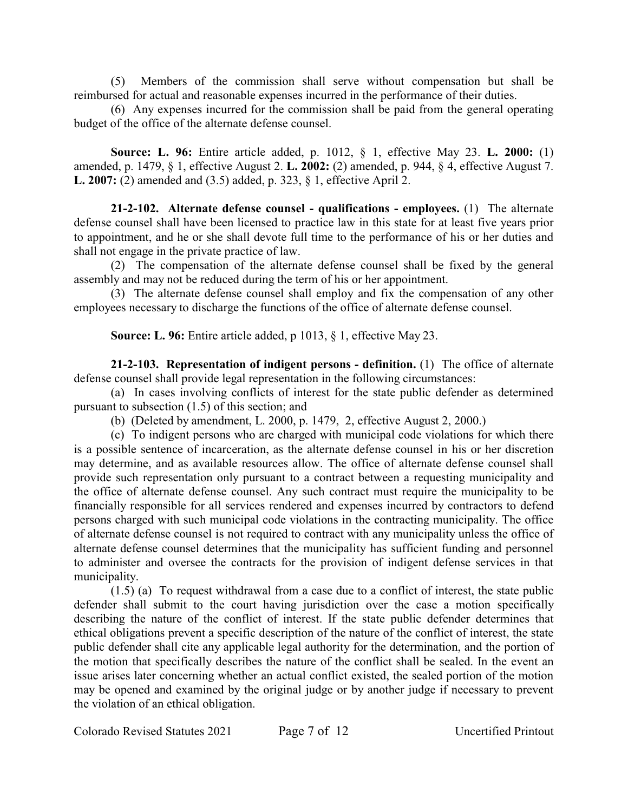(5) Members of the commission shall serve without compensation but shall be reimbursed for actual and reasonable expenses incurred in the performance of their duties.

(6) Any expenses incurred for the commission shall be paid from the general operating budget of the office of the alternate defense counsel.

**Source: L. 96:** Entire article added, p. 1012, § 1, effective May 23. **L. 2000:** (1) amended, p. 1479, § 1, effective August 2. **L. 2002:** (2) amended, p. 944, § 4, effective August 7. **L. 2007:** (2) amended and (3.5) added, p. 323, § 1, effective April 2.

**21-2-102. Alternate defense counsel - qualifications - employees.** (1) The alternate defense counsel shall have been licensed to practice law in this state for at least five years prior to appointment, and he or she shall devote full time to the performance of his or her duties and shall not engage in the private practice of law.

(2) The compensation of the alternate defense counsel shall be fixed by the general assembly and may not be reduced during the term of his or her appointment.

(3) The alternate defense counsel shall employ and fix the compensation of any other employees necessary to discharge the functions of the office of alternate defense counsel.

**Source: L. 96:** Entire article added, p 1013, § 1, effective May 23.

**21-2-103. Representation of indigent persons - definition.** (1) The office of alternate defense counsel shall provide legal representation in the following circumstances:

(a) In cases involving conflicts of interest for the state public defender as determined pursuant to subsection (1.5) of this section; and

(b) (Deleted by amendment, L. 2000, p. 1479, 2, effective August 2, 2000.)

(c) To indigent persons who are charged with municipal code violations for which there is a possible sentence of incarceration, as the alternate defense counsel in his or her discretion may determine, and as available resources allow. The office of alternate defense counsel shall provide such representation only pursuant to a contract between a requesting municipality and the office of alternate defense counsel. Any such contract must require the municipality to be financially responsible for all services rendered and expenses incurred by contractors to defend persons charged with such municipal code violations in the contracting municipality. The office of alternate defense counsel is not required to contract with any municipality unless the office of alternate defense counsel determines that the municipality has sufficient funding and personnel to administer and oversee the contracts for the provision of indigent defense services in that municipality.

(1.5) (a) To request withdrawal from a case due to a conflict of interest, the state public defender shall submit to the court having jurisdiction over the case a motion specifically describing the nature of the conflict of interest. If the state public defender determines that ethical obligations prevent a specific description of the nature of the conflict of interest, the state public defender shall cite any applicable legal authority for the determination, and the portion of the motion that specifically describes the nature of the conflict shall be sealed. In the event an issue arises later concerning whether an actual conflict existed, the sealed portion of the motion may be opened and examined by the original judge or by another judge if necessary to prevent the violation of an ethical obligation.

Colorado Revised Statutes 2021 Page 7 of 12 Uncertified Printout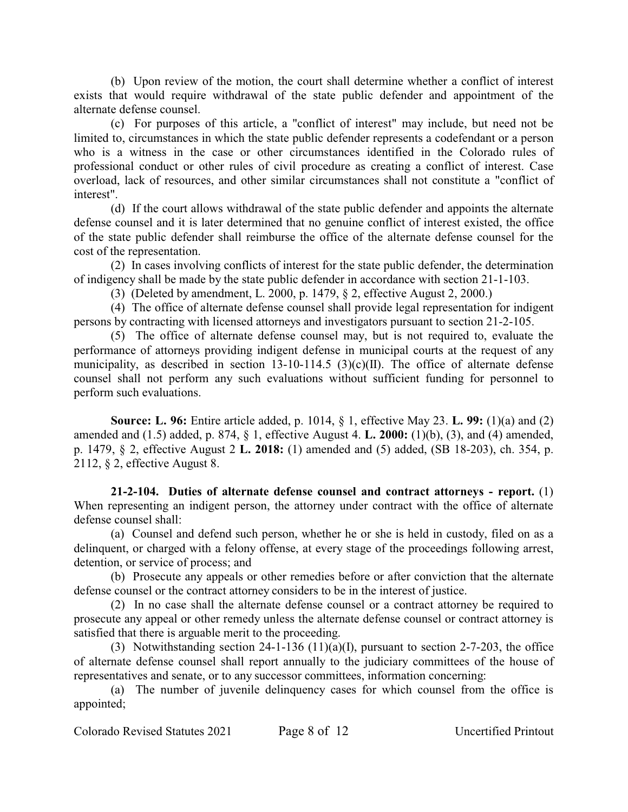(b) Upon review of the motion, the court shall determine whether a conflict of interest exists that would require withdrawal of the state public defender and appointment of the alternate defense counsel.

(c) For purposes of this article, a "conflict of interest" may include, but need not be limited to, circumstances in which the state public defender represents a codefendant or a person who is a witness in the case or other circumstances identified in the Colorado rules of professional conduct or other rules of civil procedure as creating a conflict of interest. Case overload, lack of resources, and other similar circumstances shall not constitute a "conflict of interest".

(d) If the court allows withdrawal of the state public defender and appoints the alternate defense counsel and it is later determined that no genuine conflict of interest existed, the office of the state public defender shall reimburse the office of the alternate defense counsel for the cost of the representation.

(2) In cases involving conflicts of interest for the state public defender, the determination of indigency shall be made by the state public defender in accordance with section 21-1-103.

(3) (Deleted by amendment, L. 2000, p. 1479, § 2, effective August 2, 2000.)

(4) The office of alternate defense counsel shall provide legal representation for indigent persons by contracting with licensed attorneys and investigators pursuant to section 21-2-105.

(5) The office of alternate defense counsel may, but is not required to, evaluate the performance of attorneys providing indigent defense in municipal courts at the request of any municipality, as described in section 13-10-114.5 (3)(c)(II). The office of alternate defense counsel shall not perform any such evaluations without sufficient funding for personnel to perform such evaluations.

**Source: L. 96:** Entire article added, p. 1014, § 1, effective May 23. **L. 99:** (1)(a) and (2) amended and (1.5) added, p. 874, § 1, effective August 4. **L. 2000:** (1)(b), (3), and (4) amended, p. 1479, § 2, effective August 2 **L. 2018:** (1) amended and (5) added, (SB 18-203), ch. 354, p. 2112, § 2, effective August 8.

**21-2-104. Duties of alternate defense counsel and contract attorneys - report.** (1) When representing an indigent person, the attorney under contract with the office of alternate defense counsel shall:

(a) Counsel and defend such person, whether he or she is held in custody, filed on as a delinquent, or charged with a felony offense, at every stage of the proceedings following arrest, detention, or service of process; and

(b) Prosecute any appeals or other remedies before or after conviction that the alternate defense counsel or the contract attorney considers to be in the interest of justice.

(2) In no case shall the alternate defense counsel or a contract attorney be required to prosecute any appeal or other remedy unless the alternate defense counsel or contract attorney is satisfied that there is arguable merit to the proceeding.

(3) Notwithstanding section 24-1-136 (11)(a)(I), pursuant to section 2-7-203, the office of alternate defense counsel shall report annually to the judiciary committees of the house of representatives and senate, or to any successor committees, information concerning:

(a) The number of juvenile delinquency cases for which counsel from the office is appointed;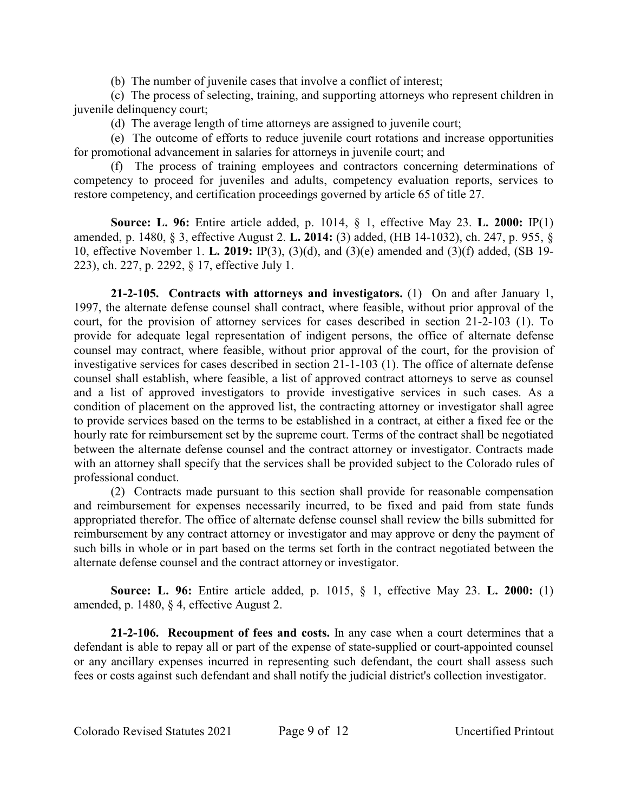(b) The number of juvenile cases that involve a conflict of interest;

(c) The process of selecting, training, and supporting attorneys who represent children in juvenile delinquency court;

(d) The average length of time attorneys are assigned to juvenile court;

(e) The outcome of efforts to reduce juvenile court rotations and increase opportunities for promotional advancement in salaries for attorneys in juvenile court; and

(f) The process of training employees and contractors concerning determinations of competency to proceed for juveniles and adults, competency evaluation reports, services to restore competency, and certification proceedings governed by article 65 of title 27.

**Source: L. 96:** Entire article added, p. 1014, § 1, effective May 23. **L. 2000:** IP(1) amended, p. 1480, § 3, effective August 2. **L. 2014:** (3) added, (HB 14-1032), ch. 247, p. 955, § 10, effective November 1. **L. 2019:** IP(3), (3)(d), and (3)(e) amended and (3)(f) added, (SB 19- 223), ch. 227, p. 2292, § 17, effective July 1.

**21-2-105. Contracts with attorneys and investigators.** (1) On and after January 1, 1997, the alternate defense counsel shall contract, where feasible, without prior approval of the court, for the provision of attorney services for cases described in section 21-2-103 (1). To provide for adequate legal representation of indigent persons, the office of alternate defense counsel may contract, where feasible, without prior approval of the court, for the provision of investigative services for cases described in section 21-1-103 (1). The office of alternate defense counsel shall establish, where feasible, a list of approved contract attorneys to serve as counsel and a list of approved investigators to provide investigative services in such cases. As a condition of placement on the approved list, the contracting attorney or investigator shall agree to provide services based on the terms to be established in a contract, at either a fixed fee or the hourly rate for reimbursement set by the supreme court. Terms of the contract shall be negotiated between the alternate defense counsel and the contract attorney or investigator. Contracts made with an attorney shall specify that the services shall be provided subject to the Colorado rules of professional conduct.

(2) Contracts made pursuant to this section shall provide for reasonable compensation and reimbursement for expenses necessarily incurred, to be fixed and paid from state funds appropriated therefor. The office of alternate defense counsel shall review the bills submitted for reimbursement by any contract attorney or investigator and may approve or deny the payment of such bills in whole or in part based on the terms set forth in the contract negotiated between the alternate defense counsel and the contract attorney or investigator.

**Source: L. 96:** Entire article added, p. 1015, § 1, effective May 23. **L. 2000:** (1) amended, p. 1480, § 4, effective August 2.

**21-2-106. Recoupment of fees and costs.** In any case when a court determines that a defendant is able to repay all or part of the expense of state-supplied or court-appointed counsel or any ancillary expenses incurred in representing such defendant, the court shall assess such fees or costs against such defendant and shall notify the judicial district's collection investigator.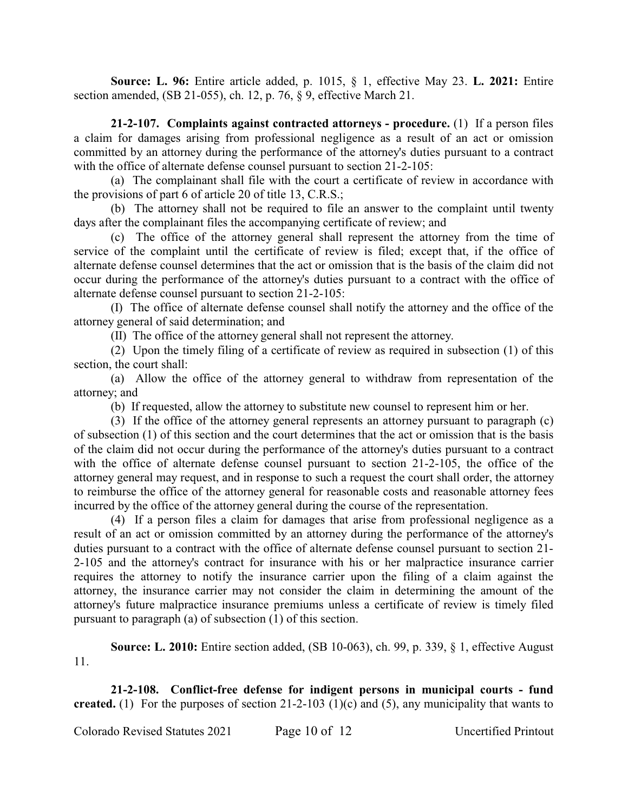**Source: L. 96:** Entire article added, p. 1015, § 1, effective May 23. **L. 2021:** Entire section amended, (SB 21-055), ch. 12, p. 76, § 9, effective March 21.

**21-2-107. Complaints against contracted attorneys - procedure.** (1) If a person files a claim for damages arising from professional negligence as a result of an act or omission committed by an attorney during the performance of the attorney's duties pursuant to a contract with the office of alternate defense counsel pursuant to section 21-2-105:

(a) The complainant shall file with the court a certificate of review in accordance with the provisions of part 6 of article 20 of title 13, C.R.S.;

(b) The attorney shall not be required to file an answer to the complaint until twenty days after the complainant files the accompanying certificate of review; and

(c) The office of the attorney general shall represent the attorney from the time of service of the complaint until the certificate of review is filed; except that, if the office of alternate defense counsel determines that the act or omission that is the basis of the claim did not occur during the performance of the attorney's duties pursuant to a contract with the office of alternate defense counsel pursuant to section 21-2-105:

(I) The office of alternate defense counsel shall notify the attorney and the office of the attorney general of said determination; and

(II) The office of the attorney general shall not represent the attorney.

(2) Upon the timely filing of a certificate of review as required in subsection (1) of this section, the court shall:

(a) Allow the office of the attorney general to withdraw from representation of the attorney; and

(b) If requested, allow the attorney to substitute new counsel to represent him or her.

(3) If the office of the attorney general represents an attorney pursuant to paragraph (c) of subsection (1) of this section and the court determines that the act or omission that is the basis of the claim did not occur during the performance of the attorney's duties pursuant to a contract with the office of alternate defense counsel pursuant to section 21-2-105, the office of the attorney general may request, and in response to such a request the court shall order, the attorney to reimburse the office of the attorney general for reasonable costs and reasonable attorney fees incurred by the office of the attorney general during the course of the representation.

(4) If a person files a claim for damages that arise from professional negligence as a result of an act or omission committed by an attorney during the performance of the attorney's duties pursuant to a contract with the office of alternate defense counsel pursuant to section 21- 2-105 and the attorney's contract for insurance with his or her malpractice insurance carrier requires the attorney to notify the insurance carrier upon the filing of a claim against the attorney, the insurance carrier may not consider the claim in determining the amount of the attorney's future malpractice insurance premiums unless a certificate of review is timely filed pursuant to paragraph (a) of subsection (1) of this section.

**Source: L. 2010:** Entire section added, (SB 10-063), ch. 99, p. 339, § 1, effective August 11.

**21-2-108. Conflict-free defense for indigent persons in municipal courts - fund created.** (1) For the purposes of section 21-2-103 (1)(c) and (5), any municipality that wants to

Colorado Revised Statutes 2021 Page 10 of 12 Uncertified Printout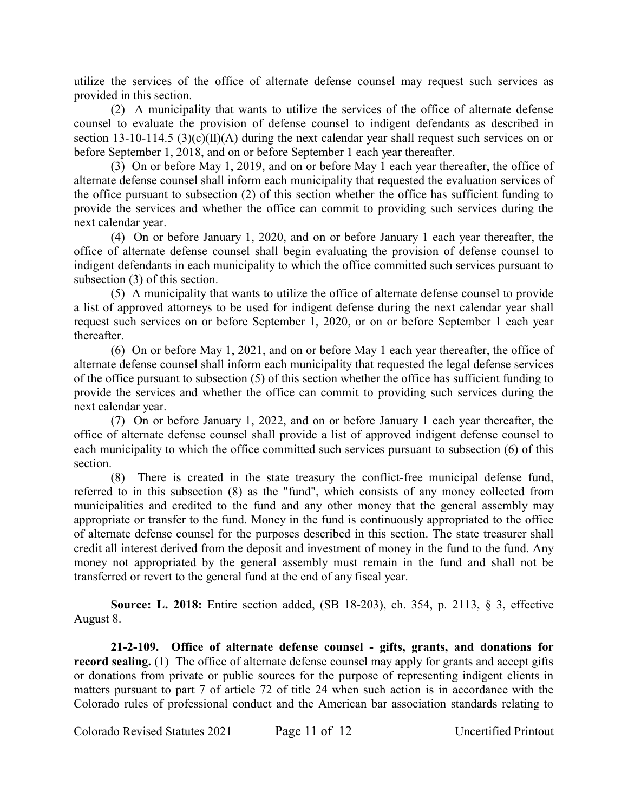utilize the services of the office of alternate defense counsel may request such services as provided in this section.

(2) A municipality that wants to utilize the services of the office of alternate defense counsel to evaluate the provision of defense counsel to indigent defendants as described in section 13-10-114.5 (3)(c)( $\Pi$ )(A) during the next calendar year shall request such services on or before September 1, 2018, and on or before September 1 each year thereafter.

(3) On or before May 1, 2019, and on or before May 1 each year thereafter, the office of alternate defense counsel shall inform each municipality that requested the evaluation services of the office pursuant to subsection (2) of this section whether the office has sufficient funding to provide the services and whether the office can commit to providing such services during the next calendar year.

(4) On or before January 1, 2020, and on or before January 1 each year thereafter, the office of alternate defense counsel shall begin evaluating the provision of defense counsel to indigent defendants in each municipality to which the office committed such services pursuant to subsection (3) of this section.

(5) A municipality that wants to utilize the office of alternate defense counsel to provide a list of approved attorneys to be used for indigent defense during the next calendar year shall request such services on or before September 1, 2020, or on or before September 1 each year thereafter.

(6) On or before May 1, 2021, and on or before May 1 each year thereafter, the office of alternate defense counsel shall inform each municipality that requested the legal defense services of the office pursuant to subsection (5) of this section whether the office has sufficient funding to provide the services and whether the office can commit to providing such services during the next calendar year.

(7) On or before January 1, 2022, and on or before January 1 each year thereafter, the office of alternate defense counsel shall provide a list of approved indigent defense counsel to each municipality to which the office committed such services pursuant to subsection (6) of this section.

(8) There is created in the state treasury the conflict-free municipal defense fund, referred to in this subsection (8) as the "fund", which consists of any money collected from municipalities and credited to the fund and any other money that the general assembly may appropriate or transfer to the fund. Money in the fund is continuously appropriated to the office of alternate defense counsel for the purposes described in this section. The state treasurer shall credit all interest derived from the deposit and investment of money in the fund to the fund. Any money not appropriated by the general assembly must remain in the fund and shall not be transferred or revert to the general fund at the end of any fiscal year.

**Source: L. 2018:** Entire section added, (SB 18-203), ch. 354, p. 2113, § 3, effective August 8.

**21-2-109. Office of alternate defense counsel - gifts, grants, and donations for record sealing.** (1) The office of alternate defense counsel may apply for grants and accept gifts or donations from private or public sources for the purpose of representing indigent clients in matters pursuant to part 7 of article 72 of title 24 when such action is in accordance with the Colorado rules of professional conduct and the American bar association standards relating to